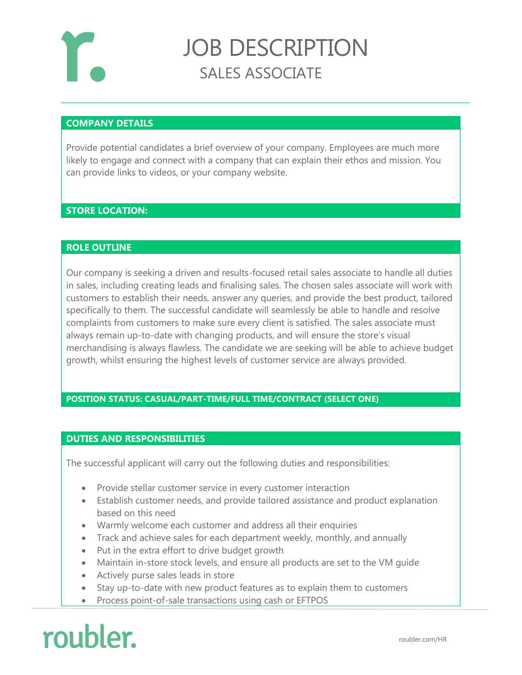

### JOB DESCRIPTION SALES ASSOCIATE

#### **COMPANY DETAILS**

Provide potential candidates a brief overview of your company. Employees are much more likely to engage and connect with a company that can explain their ethos and mission. You can provide links to videos, or your company website.

#### **STORE LOCATION:**

#### **ROLE OUTLINE**

Our company is seeking a driven and results-focused retail sales associate to handle all duties in sales, including creating leads and finalising sales. The chosen sales associate will work with customers to establish their needs, answer any queries, and provide the best product, tailored specifically to them. The successful candidate will seamlessly be able to handle and resolve complaints from customers to make sure every client is satisfied. The sales associate must always remain up-to-date with changing products, and will ensure the store's visual merchandising is always flawless. The candidate we are seeking will be able to achieve budget growth, whilst ensuring the highest levels of customer service are always provided.

#### **POSITION STATUS: CASUAL/PART-TIME/FULL TIME/CONTRACT (SELECT ONE)**

#### **DUTIES AND RESPONSIBILITIES**

The successful applicant will carry out the following duties and responsibilities:

- Provide stellar customer service in every customer interaction
- Establish customer needs, and provide tailored assistance and product explanation based on this need
- Warmly welcome each customer and address all their enquiries
- Track and achieve sales for each department weekly, monthly, and annually
- Put in the extra effort to drive budget growth
- Maintain in-store stock levels, and ensure all products are set to the VM guide
- Actively purse sales leads in store
- Stay up-to-date with new product features as to explain them to customers
- Process point-of-sale transactions using cash or EFTPOS

# roubler.